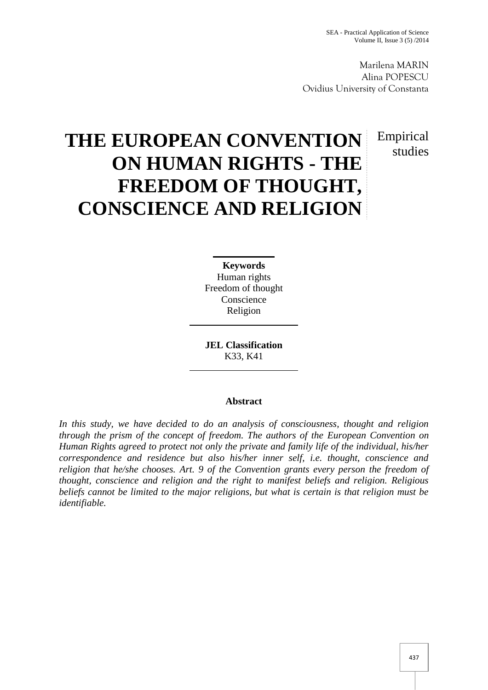Marilena MARIN Alina POPESCU Ovidius University of Constanta

> Empirical studies

# **THE EUROPEAN CONVENTION ON HUMAN RIGHTS - THE FREEDOM OF THOUGHT, CONSCIENCE AND RELIGION**

**Keywords** Human rights Freedom of thought Conscience Religion

**JEL Classification** K33, K41

## **Abstract**

*In this study, we have decided to do an analysis of consciousness, thought and religion through the prism of the concept of freedom. The authors of the European Convention on Human Rights agreed to protect not only the private and family life of the individual, his/her correspondence and residence but also his/her inner self, i.e. thought, conscience and religion that he/she chooses. Art. 9 of the Convention grants every person the freedom of thought, conscience and religion and the right to manifest beliefs and religion. Religious beliefs cannot be limited to the major religions, but what is certain is that religion must be identifiable.*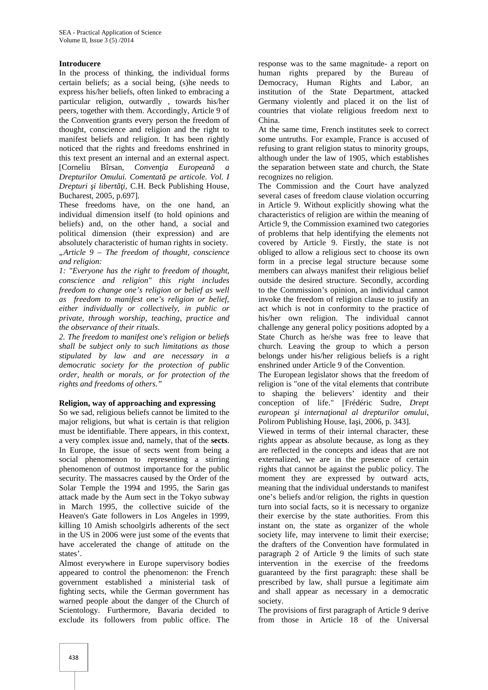### **Introducere**

In the process of thinking, the individual forms certain beliefs; as a social being, (s)he needs to express his/her beliefs, often linked to embracing a particular religion, outwardly , towards his/her peers, together with them. Accordingly, Article 9 of the Convention grants every person the freedom of thought, conscience and religion and the right to manifest beliefs and religion. It has been rightly noticed that the rights and freedoms enshrined in this text present an internal and an external aspect. [Corneliu Bîrsan, *Conven ia European Drepturilor Omului. Comentată pe articole. Vol. I Drepturi i libert i, C.H. Beck Publishing House,* Bucharest, 2005, p.697].

These freedoms have, on the one hand, an individual dimension itself (to hold opinions and beliefs) and, on the other hand, a social and political dimension (their expression) and are absolutely characteristic of human rights in society. *"Article 9 – The freedom of thought, conscience and religion:*

*1: "Everyone has the right to freedom of thought, conscience and religion" this right includes freedom to change one's religion or belief as well as freedom to manifest one's religion or belief, either individually or collectively, in public or private, through worship, teaching, practice and the observance of their rituals.*

*2. The freedom to manifest one's religion or beliefs shall be subject only to such limitations as those stipulated by law and are necessary in a democratic society for the protection of public order, health or morals, or for protection of the rights and freedoms of others."*

#### **Religion, way of approaching and expressing**

So we sad, religious beliefs cannot be limited to the major religions, but what is certain is that religion must be identifiable. There appears, in this context, a very complex issue and, namely, that of the **sects**. In Europe, the issue of sects went from being a social phenomenon to representing a stirring phenomenon of outmost importance for the public security. The massacres caused by the Order of the Solar Temple the 1994 and 1995, the Sarin gas attack made by the Aum sect in the Tokyo subway in March 1995, the collective suicide of the Heaven's Gate followers in Los Angeles in 1999, killing 10 Amish schoolgirls adherents of the sect in the US in 2006 were just some of the events that have accelerated the change of attitude on the states'.

Almost everywhere in Europe supervisory bodies appeared to control the phenomenon: the French government established a ministerial task of fighting sects, while the German government has warned people about the danger of the Church of Scientology. Furthermore, Bavaria decided to exclude its followers from public office. The

response was to the same magnitude- a report on human rights prepared by the Bureau of Democracy, Human Rights and Labor, an institution of the State Department, attacked Germany violently and placed it on the list of countries that violate religious freedom next to China.

At the same time, French institutes seek to correct some untruths. For example, France is accused of refusing to grant religion status to minority groups, although under the law of 1905, which establishes the separation between state and church, the State recognizes no religion.

The Commission and the Court have analyzed several cases of freedom clause violation occurring in Article 9. Without explicitly showing what the characteristics of religion are within the meaning of Article 9, the Commission examined two categories of problems that help identifying the elements not covered by Article 9. Firstly, the state is not obliged to allow a religious sect to choose its own form in a precise legal structure because some members can always manifest their religious belief outside the desired structure. Secondly, according to the Commission's opinion, an individual cannot invoke the freedom of religion clause to justify an act which is not in conformity to the practice of his/her own religion. The individual cannot challenge any general policy positions adopted by a State Church as he/she was free to leave that church. Leaving the group to which a person belongs under his/her religious beliefs is a right enshrined under Article 9 of the Convention.

The European legislator shows that the freedom of religion is "one of the vital elements that contribute to shaping the believers' identity and their conception of life." [Frédéric Sudre, *Drept* european *i* interna ional al drepturilor omului, Polirom Publishing House, Ia i, 2006, p. 343].

Viewed in terms of their internal character, these rights appear as absolute because, as long as they are reflected in the concepts and ideas that are not externalized, we are in the presence of certain rights that cannot be against the public policy. The moment they are expressed by outward acts, meaning that the individual understands to manifest one's beliefs and/or religion, the rights in question turn into social facts, so it is necessary to organize their exercise by the state authorities. From this instant on, the state as organizer of the whole society life, may intervene to limit their exercise; the drafters of the Convention have formulated in paragraph 2 of Article 9 the limits of such state intervention in the exercise of the freedoms guaranteed by the first paragraph: these shall be prescribed by law, shall pursue a legitimate aim and shall appear as necessary in a democratic society.

The provisions of first paragraph of Article 9 derive from those in Article 18 of the Universal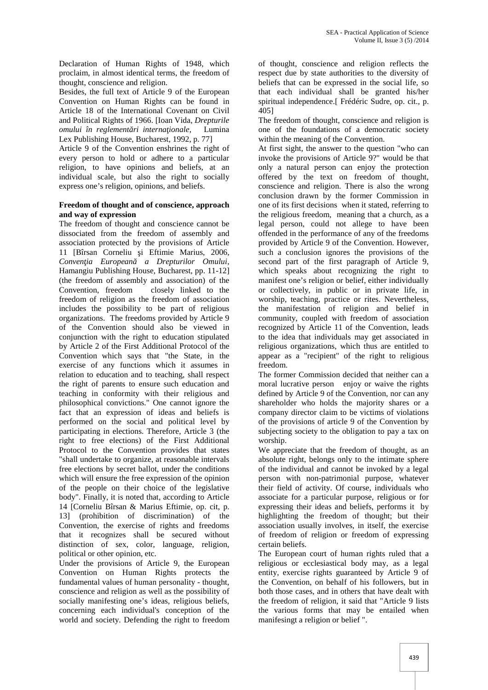Declaration of Human Rights of 1948, which proclaim, in almost identical terms, the freedom of thought, conscience and religion.

Besides, the full text of Article 9 of the European Convention on Human Rights can be found in Article 18 of the International Covenant on Civil and Political Rights of 1966. [Ioan Vida, *Drepturile omului în reglement ri interna ionale*, Lumina Lex Publishing House, Bucharest, 1992, p. 77]

Article 9 of the Convention enshrines the right of every person to hold or adhere to a particular religion, to have opinions and beliefs, at an individual scale, but also the right to socially express one's religion, opinions, and beliefs.

### **Freedom of thought and of conscience, approach and way of expression**

The freedom of thought and conscience cannot be dissociated from the freedom of assembly and association protected by the provisions of Article 11 [Bîrsan Corneliu i Eftimie Marius, 2006, *Conven ia European a Drepturilor Omului*, Hamangiu Publishing House, Bucharest, pp. 11-12] (the freedom of assembly and association) of the Convention, freedom closely linked to the freedom of religion as the freedom of association includes the possibility to be part of religious organizations. The freedoms provided by Article 9 of the Convention should also be viewed in conjunction with the right to education stipulated by Article 2 of the First Additional Protocol of the Convention which says that "the State, in the exercise of any functions which it assumes in relation to education and to teaching, shall respect the right of parents to ensure such education and teaching in conformity with their religious and philosophical convictions." One cannot ignore the fact that an expression of ideas and beliefs is performed on the social and political level by participating in elections. Therefore, Article 3 (the right to free elections) of the First Additional Protocol to the Convention provides that states "shall undertake to organize, at reasonable intervals free elections by secret ballot, under the conditions which will ensure the free expression of the opinion of the people on their choice of the legislative body". Finally, it is noted that, according to Article 14 [Corneliu Bîrsan & Marius Eftimie, op. cit, p. 13] (prohibition of discrimination) of the Convention, the exercise of rights and freedoms that it recognizes shall be secured without distinction of sex, color, language, religion, political or other opinion, etc.

Under the provisions of Article 9, the European Convention on Human Rights protects the fundamental values of human personality - thought, conscience and religion as well as the possibility of socially manifesting one's ideas, religious beliefs, concerning each individual's conception of the world and society. Defending the right to freedom

of thought, conscience and religion reflects the respect due by state authorities to the diversity of beliefs that can be expressed in the social life, so that each individual shall be granted his/her spiritual independence.[ Frédéric Sudre, op. cit., p. 405]

The freedom of thought, conscience and religion is one of the foundations of a democratic society within the meaning of the Convention.

At first sight, the answer to the question "who can invoke the provisions of Article 9?" would be that only a natural person can enjoy the protection offered by the text on freedom of thought, conscience and religion. There is also the wrong conclusion drawn by the former Commission in one of its first decisions when it stated, referring to the religious freedom, meaning that a church, as a legal person, could not allege to have been offended in the performance of any of the freedoms provided by Article 9 of the Convention. However, such a conclusion ignores the provisions of the second part of the first paragraph of Article 9, which speaks about recognizing the right to manifest one's religion or belief, either individually or collectively, in public or in private life, in worship, teaching, practice or rites. Nevertheless, the manifestation of religion and belief in community, coupled with freedom of association recognized by Article 11 of the Convention, leads to the idea that individuals may get associated in religious organizations, which thus are entitled to appear as a "recipient" of the right to religious freedom.

The former Commission decided that neither can a moral lucrative person enjoy or waive the rights defined by Article 9 of the Convention, nor can any shareholder who holds the majority shares or a company director claim to be victims of violations of the provisions of article 9 of the Convention by subjecting society to the obligation to pay a tax on worship.

We appreciate that the freedom of thought, as an absolute right, belongs only to the intimate sphere of the individual and cannot be invoked by a legal person with non-patrimonial purpose, whatever their field of activity. Of course, individuals who associate for a particular purpose, religious or for expressing their ideas and beliefs, performs it by highlighting the freedom of thought; but their association usually involves, in itself, the exercise of freedom of religion or freedom of expressing certain beliefs.

The European court of human rights ruled that a religious or ecclesiastical body may, as a legal entity, exercise rights guaranteed by Article 9 of the Convention, on behalf of his followers, but in both those cases, and in others that have dealt with the freedom of religion, it said that "Article 9 lists the various forms that may be entailed when manifesingt a religion or belief ".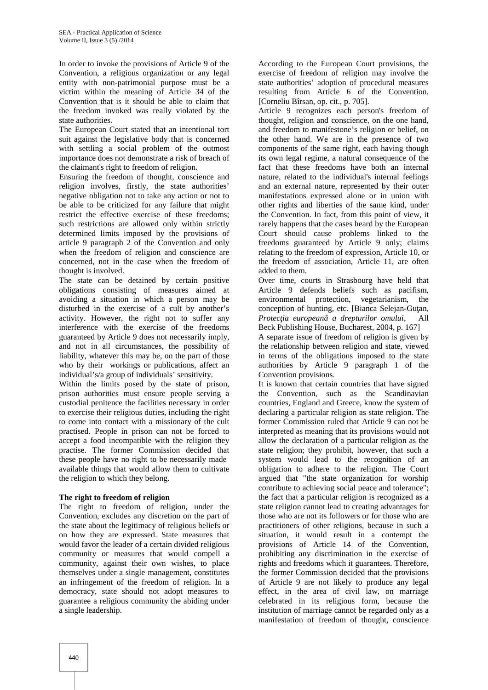In order to invoke the provisions of Article 9 of the Convention, a religious organization or any legal entity with non-patrimonial purpose must be a victim within the meaning of Article 34 of the Convention that is it should be able to claim that the freedom invoked was really violated by the state authorities.

The European Court stated that an intentional tort suit against the legislative body that is concerned with settling a social problem of the outmost importance does not demonstrate a risk of breach of the claimant's right to freedom of religion.

Ensuring the freedom of thought, conscience and religion involves, firstly, the state authorities' negative obligation not to take any action or not to be able to be criticized for any failure that might restrict the effective exercise of these freedoms; such restrictions are allowed only within strictly determined limits imposed by the provisions of article 9 paragraph 2 of the Convention and only when the freedom of religion and conscience are concerned, not in the case when the freedom of thought is involved.

The state can be detained by certain positive obligations consisting of measures aimed at avoiding a situation in which a person may be disturbed in the exercise of a cult by another's activity. However, the right not to suffer any interference with the exercise of the freedoms guaranteed by Article 9 does not necessarily imply, and not in all circumstances, the possibility of liability, whatever this may be, on the part of those who by their workings or publications, affect an individual's/a group of individuals' sensitivity.

Within the limits posed by the state of prison, prison authorities must ensure people serving a custodial penitence the facilities necessary in order to exercise their religious duties, including the right to come into contact with a missionary of the cult practised. People in prison can not be forced to accept a food incompatible with the religion they practise. The former Commission decided that these people have no right to be necessarily made available things that would allow them to cultivate the religion to which they belong.

#### **The right to freedom of religion**

The right to freedom of religion, under the Convention, excludes any discretion on the part of the state about the legitimacy of religious beliefs or on how they are expressed. State measures that would favor the leader of a certain divided religious community or measures that would compell a community, against their own wishes, to place themselves under a single management, constitutes an infringement of the freedom of religion. In a democracy, state should not adopt measures to guarantee a religious community the abiding under a single leadership.

According to the European Court provisions, the exercise of freedom of religion may involve the state authorities' adoption of procedural measures resulting from Article 6 of the Convention. [Corneliu Bîrsan, op. cit., p. 705].

Article 9 recognizes each person's freedom of thought, religion and conscience, on the one hand, and freedom to manifestone's religion or belief, on the other hand. We are in the presence of two components of the same right, each having though its own legal regime, a natural consequence of the fact that these freedoms have both an internal nature, related to the individual's internal feelings and an external nature, represented by their outer manifestations expressed alone or in union with other rights and liberties of the same kind, under the Convention. In fact, from this point of view, it rarely happens that the cases heard by the European Court should cause problems linked to the freedoms guaranteed by Article 9 only; claims relating to the freedom of expression, Article 10, or the freedom of association, Article 11, are often added to them.

Over time, courts in Strasbourg have held that Article 9 defends beliefs such as pacifism, environmental protection, vegetarianism, the conception of hunting, etc. [Bianca Selejan-Gu an, Protec ia european a drepturilor omului, All Beck Publishing House, Bucharest, 2004, p. 167]

A separate issue of freedom of religion is given by the relationship between religion and state, viewed in terms of the obligations imposed to the state authorities by Article 9 paragraph 1 of the Convention provisions.

It is known that certain countries that have signed the Convention, such as the Scandinavian countries, England and Greece, know the system of declaring a particular religion as state religion. The former Commission ruled that Article 9 can not be interpreted as meaning that its provisions would not allow the declaration of a particular religion as the state religion; they prohibit, however, that such a system would lead to the recognition of an obligation to adhere to the religion. The Court argued that "the state organization for worship contribute to achieving social peace and tolerance"; the fact that a particular religion is recognized as a state religion cannot lead to creating advantages for those who are not its followers or for those who are practitioners of other religions, because in such a situation, it would result in a contempt the provisions of Article 14 of the Convention, prohibiting any discrimination in the exercise of rights and freedoms which it guarantees. Therefore, the former Commission decided that the provisions of Article 9 are not likely to produce any legal effect, in the area of civil law, on marriage celebrated in its religious form, because the institution of marriage cannot be regarded only as a manifestation of freedom of thought, conscience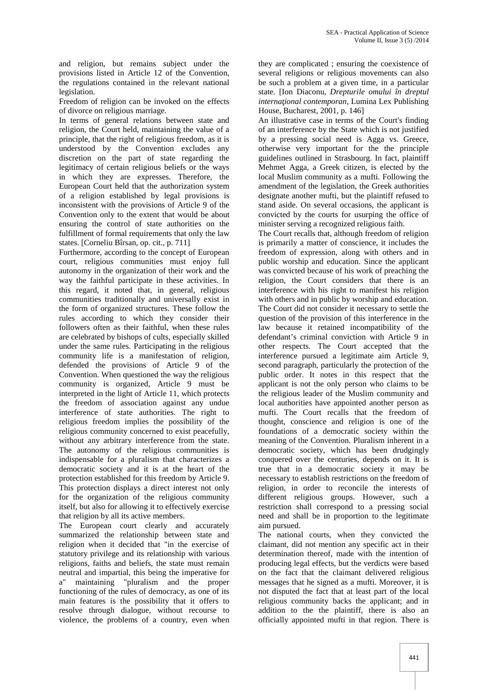and religion, but remains subject under the provisions listed in Article 12 of the Convention, the regulations contained in the relevant national legislation.

Freedom of religion can be invoked on the effects of divorce on religious marriage.

In terms of general relations between state and religion, the Court held, maintaining the value of a principle, that the right of religious freedom, as it is understood by the Convention excludes any discretion on the part of state regarding the legitimacy of certain religious beliefs or the ways in which they are expresses. Therefore, the European Court held that the authorization system of a religion established by legal provisions is inconsistent with the provisions of Article 9 of the Convention only to the extent that would be about ensuring the control of state authorities on the fulfillment of formal requirements that only the law states. [Corneliu Bîrsan, op. cit., p. 711]

Furthermore, according to the concept of European court, religious communities must enjoy full autonomy in the organization of their work and the way the faithful participate in these activities. In this regard, it noted that, in general, religious communities traditionally and universally exist in the form of organized structures. These follow the rules according to which they consider their followers often as their faithful, when these rules are celebrated by bishops of cults, especially skilled under the same rules. Participating in the religious community life is a manifestation of religion, defended the provisions of Article 9 of the Convention. When questioned the way the religious community is organized, Article 9 must be interpreted in the light of Article 11, which protects the freedom of association against any undue interference of state authorities. The right to religious freedom implies the possibility of the religious community concerned to exist peacefully, without any arbitrary interference from the state. The autonomy of the religious communities is indispensable for a pluralism that characterizes a democratic society and it is at the heart of the protection established for this freedom by Article 9. This protection displays a direct interest not only for the organization of the religious community itself, but also for allowing it to effectively exercise that religion by all its active members.

The European court clearly and accurately summarized the relationship between state and religion when it decided that "in the exercise of statutory privilege and its relationship with various religions, faiths and beliefs, the state must remain neutral and impartial, this being the imperative for a" maintaining "pluralism and the proper functioning of the rules of democracy, as one of its main features is the possibility that it offers to resolve through dialogue, without recourse to violence, the problems of a country, even when

they are complicated ; ensuring the coexistence of several religions or religious movements can also be such a problem at a given time, in a particular state. [Ion Diaconu, *Drepturile omului în dreptul interna ional contemporan*, Lumina Lex Publishing House, Bucharest, 2001, p. 146]

An illustrative case in terms of the Court's finding of an interference by the State which is not justified by a pressing social need is Agga vs. Greece, otherwise very important for the the principle guidelines outlined in Strasbourg. In fact, plaintiff Mehmet Agga, a Greek citizen, is elected by the local Muslim community as a mufti. Following the amendment of the legislation, the Greek authorities designate another mufti, but the plaintiff refused to stand aside. On several occasions, the applicant is convicted by the courts for usurping the office of minister serving a recognized religious faith.

The Court recalls that, although freedom of religion is primarily a matter of conscience, it includes the freedom of expression, along with others and in public worship and education. Since the applicant was convicted because of his work of preaching the religion, the Court considers that there is an interference with his right to manifest his religion with others and in public by worship and education. The Court did not consider it necessary to settle the question of the provision of this interference in the law because it retained incompatibility of the defendant's criminal conviction with Article 9 in other respects. The Court accepted that the interference pursued a legitimate aim Article 9, second paragraph, particularly the protection of the public order. It notes in this respect that the applicant is not the only person who claims to be the religious leader of the Muslim community and local authorities have appointed another person as mufti. The Court recalls that the freedom of thought, conscience and religion is one of the foundations of a democratic society within the meaning of the Convention. Pluralism inherent in a democratic society, which has been drudgingly conquered over the centuries, depends on it. It is true that in a democratic society it may be necessary to establish restrictions on the freedom of religion, in order to reconcile the interests of different religious groups. However, such a restriction shall correspond to a pressing social need and shall be in proportion to the legitimate aim pursued.

The national courts, when they convicted the claimant, did not mention any specific act in their determination thereof, made with the intention of producing legal effects, but the verdicts were based on the fact that the claimant delivered religious messages that he signed as a mufti. Moreover, it is not disputed the fact that at least part of the local religious community backs the applicant; and in addition to the the plaintiff, there is also an officially appointed mufti in that region. There is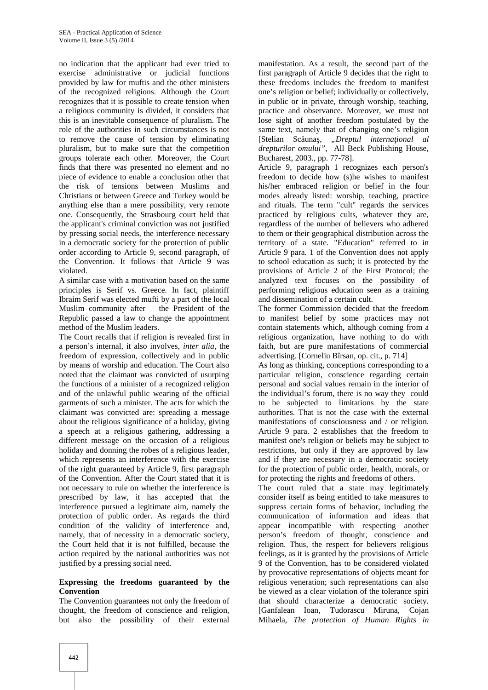no indication that the applicant had ever tried to exercise administrative or judicial functions provided by law for muftis and the other ministers of the recognized religions. Although the Court recognizes that it is possible to create tension when a religious community is divided, it considers that this is an inevitable consequence of pluralism. The role of the authorities in such circumstances is not to remove the cause of tension by eliminating pluralism, but to make sure that the competition groups tolerate each other. Moreover, the Court finds that there was presented no element and no piece of evidence to enable a conclusion other that the risk of tensions between Muslims and Christians or between Greece and Turkey would be anything else than a mere possibility, very remote one. Consequently, the Strasbourg court held that the applicant's criminal conviction was not justified by pressing social needs, the interference necessary in a democratic society for the protection of public order according to Article 9, second paragraph, of the Convention. It follows that Article 9 was violated.

A similar case with a motivation based on the same principles is Serif vs. Greece. In fact, plaintiff Ibraim Serif was elected mufti by a part of the local Muslim community after the President of the Republic passed a law to change the appointment method of the Muslim leaders.

The Court recalls that if religion is revealed first in a person's internal, it also involves, *inter alia*, the freedom of expression, collectively and in public by means of worship and education. The Court also noted that the claimant was convicted of usurping the functions of a minister of a recognized religion and of the unlawful public wearing of the official garments of such a minister. The acts for which the claimant was convicted are: spreading a message about the religious significance of a holiday, giving a speech at a religious gathering, addressing a different message on the occasion of a religious holiday and donning the robes of a religious leader, which represents an interference with the exercise of the right guaranteed by Article 9, first paragraph of the Convention. After the Court stated that it is not necessary to rule on whether the interference is prescribed by law, it has accepted that the interference pursued a legitimate aim, namely the protection of public order. As regards the third condition of the validity of interference and, namely, that of necessity in a democratic society, the Court held that it is not fulfilled, because the action required by the national authorities was not justified by a pressing social need.

#### **Expressing the freedoms guaranteed by the Convention**

The Convention guarantees not only the freedom of thought, the freedom of conscience and religion, but also the possibility of their external

manifestation. As a result, the second part of the first paragraph of Article 9 decides that the right to these freedoms includes the freedom to manifest one's religion or belief; individually or collectively, in public or in private, through worship, teaching, practice and observance. Moreover, we must not lose sight of another freedom postulated by the same text, namely that of changing one's religion [Stelian Scuna, *"Dreptul interna ional al drepturilor omului"*, All Beck Publishing House, Bucharest, 2003., pp. 77-78].

Article 9, paragraph 1 recognizes each person's freedom to decide how (s)he wishes to manifest his/her embraced religion or belief in the four modes already listed: worship, teaching, practice and rituals. The term "cult" regards the services practiced by religious cults, whatever they are, regardless of the number of believers who adhered to them or their geographical distribution across the territory of a state. "Education" referred to in Article 9 para. 1 of the Convention does not apply to school education as such; it is protected by the provisions of Article 2 of the First Protocol; the analyzed text focuses on the possibility of performing religious education seen as a training and dissemination of a certain cult.

The former Commission decided that the freedom to manifest belief by some practices may not contain statements which, although coming from a religious organization, have nothing to do with faith, but are pure manifestations of commercial advertising. [Corneliu Bîrsan, op. cit., p. 714]

As long as thinking, conceptions corresponding to a particular religion, conscience regarding certain personal and social values remain in the interior of the individual's forum, there is no way they could to be subjected to limitations by the state authorities. That is not the case with the external manifestations of consciousness and / or religion. Article 9 para. 2 establishes that the freedom to manifest one's religion or beliefs may be subject to restrictions, but only if they are approved by law and if they are necessary in a democratic society for the protection of public order, health, morals, or for protecting the rights and freedoms of others.

The court ruled that a state may legitimately consider itself as being entitled to take measures to suppress certain forms of behavior, including the communication of information and ideas that appear incompatible with respecting another person's freedom of thought, conscience and religion. Thus, the respect for believers religious feelings, as it is granted by the provisions of Article 9 of the Convention, has to be considered violated by provocative representations of objects meant for religious veneration; such representations can also be viewed as a clear violation of the tolerance spiri that should characterize a democratic society. [Ganfalean Ioan, Tudorascu Miruna, Cojan Mihaela, *The protection of Human Rights in*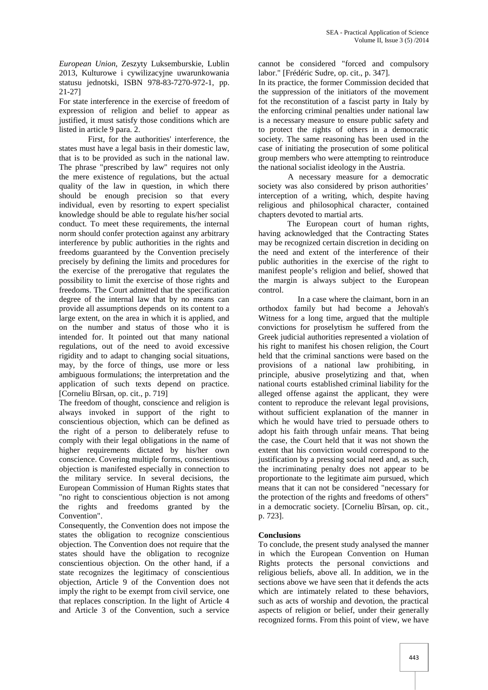*European Union*, Zeszyty Luksemburskie, Lublin 2013, Kulturowe i cywilizacyjne uwarunkowania statusu jednotski, ISBN 978-83-7270-972-1, pp. 21-27]

For state interference in the exercise of freedom of expression of religion and belief to appear as justified, it must satisfy those conditions which are listed in article 9 para. 2.

First, for the authorities' interference, the states must have a legal basis in their domestic law, that is to be provided as such in the national law. The phrase "prescribed by law" requires not only the mere existence of regulations, but the actual quality of the law in question, in which there should be enough precision so that every individual, even by resorting to expert specialist knowledge should be able to regulate his/her social conduct. To meet these requirements, the internal norm should confer protection against any arbitrary interference by public authorities in the rights and freedoms guaranteed by the Convention precisely precisely by defining the limits and procedures for the exercise of the prerogative that regulates the possibility to limit the exercise of those rights and freedoms. The Court admitted that the specification degree of the internal law that by no means can provide all assumptions depends on its content to a large extent, on the area in which it is applied, and on the number and status of those who it is intended for. It pointed out that many national regulations, out of the need to avoid excessive rigidity and to adapt to changing social situations, may, by the force of things, use more or less ambiguous formulations; the interpretation and the application of such texts depend on practice. [Corneliu Bîrsan, op. cit., p. 719]

The freedom of thought, conscience and religion is always invoked in support of the right to conscientious objection, which can be defined as the right of a person to deliberately refuse to comply with their legal obligations in the name of higher requirements dictated by his/her own conscience. Covering multiple forms, conscientious objection is manifested especially in connection to the military service. In several decisions, the European Commission of Human Rights states that "no right to conscientious objection is not among the rights and freedoms granted by the Convention".

Consequently, the Convention does not impose the states the obligation to recognize conscientious objection. The Convention does not require that the states should have the obligation to recognize conscientious objection. On the other hand, if a state recognizes the legitimacy of conscientious objection, Article 9 of the Convention does not imply the right to be exempt from civil service, one that replaces conscription. In the light of Article 4 and Article 3 of the Convention, such a service

cannot be considered "forced and compulsory labor." [Frédéric Sudre, op. cit., p. 347].

In its practice, the former Commission decided that the suppression of the initiators of the movement fot the reconstitution of a fascist party in Italy by the enforcing criminal penalties under national law is a necessary measure to ensure public safety and to protect the rights of others in a democratic society. The same reasoning has been used in the case of initiating the prosecution of some political group members who were attempting to reintroduce the national socialist ideology in the Austria.

A necessary measure for a democratic society was also considered by prison authorities' interception of a writing, which, despite having religious and philosophical character, contained chapters devoted to martial arts.

The European court of human rights, having acknowledged that the Contracting States may be recognized certain discretion in deciding on the need and extent of the interference of their public authorities in the exercise of the right to manifest people's religion and belief, showed that the margin is always subject to the European control.

In a case where the claimant, born in an orthodox family but had become a Jehovah's Witness for a long time, argued that the multiple convictions for proselytism he suffered from the Greek judicial authorities represented a violation of his right to manifest his chosen religion, the Court held that the criminal sanctions were based on the provisions of a national law prohibiting, in principle, abusive proselytizing and that, when national courts established criminal liability for the alleged offense against the applicant, they were content to reproduce the relevant legal provisions, without sufficient explanation of the manner in which he would have tried to persuade others to adopt his faith through unfair means. That being the case, the Court held that it was not shown the extent that his conviction would correspond to the justification by a pressing social need and, as such, the incriminating penalty does not appear to be proportionate to the legitimate aim pursued, which means that it can not be considered "necessary for the protection of the rights and freedoms of others" in a democratic society. [Corneliu Bîrsan, op. cit., p. 723].

## **Conclusions**

To conclude, the present study analysed the manner in which the European Convention on Human Rights protects the personal convictions and religious beliefs, above all. In addition, we in the sections above we have seen that it defends the acts which are intimately related to these behaviors, such as acts of worship and devotion, the practical aspects of religion or belief, under their generally recognized forms. From this point of view, we have